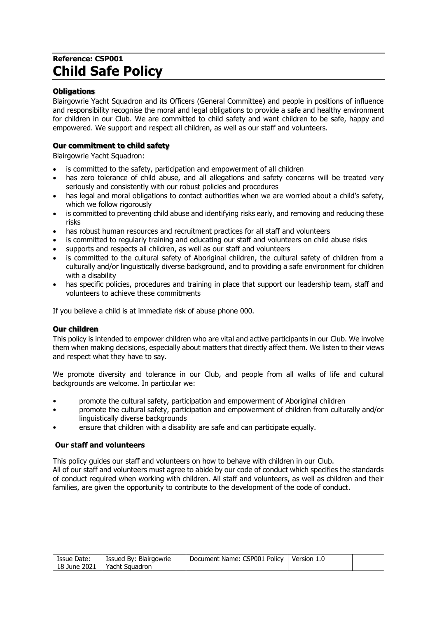# **Reference: CSP001 Child Safe Policy**

# **Obligations**

Blairgowrie Yacht Squadron and its Officers (General Committee) and people in positions of influence and responsibility recognise the moral and legal obligations to provide a safe and healthy environment for children in our Club. We are committed to child safety and want children to be safe, happy and empowered. We support and respect all children, as well as our staff and volunteers.

# **Our commitment to child safety**

Blairgowrie Yacht Squadron:

- is committed to the safety, participation and empowerment of all children
- has zero tolerance of child abuse, and all allegations and safety concerns will be treated very seriously and consistently with our robust policies and procedures
- has legal and moral obligations to contact authorities when we are worried about a child's safety, which we follow rigorously
- is committed to preventing child abuse and identifying risks early, and removing and reducing these risks
- has robust human resources and recruitment practices for all staff and volunteers
- is committed to regularly training and educating our staff and volunteers on child abuse risks
- supports and respects all children, as well as our staff and volunteers
- is committed to the cultural safety of Aboriginal children, the cultural safety of children from a culturally and/or linguistically diverse background, and to providing a safe environment for children with a disability
- has specific policies, procedures and training in place that support our leadership team, staff and volunteers to achieve these commitments

If you believe a child is at immediate risk of abuse phone 000.

## **Our children**

This policy is intended to empower children who are vital and active participants in our Club. We involve them when making decisions, especially about matters that directly affect them. We listen to their views and respect what they have to say.

We promote diversity and tolerance in our Club, and people from all walks of life and cultural backgrounds are welcome. In particular we:

- promote the cultural safety, participation and empowerment of Aboriginal children
- promote the cultural safety, participation and empowerment of children from culturally and/or linguistically diverse backgrounds
- ensure that children with a disability are safe and can participate equally.

# **Our staff and volunteers**

This policy guides our staff and volunteers on how to behave with children in our Club. All of our staff and volunteers must agree to abide by our code of conduct which specifies the standards of conduct required when working with children. All staff and volunteers, as well as children and their families, are given the opportunity to contribute to the development of the code of conduct.

| Issue Date: | Issued By: Blairgowrie        | Document Name: CSP001 Policy   Version 1.0 |  |
|-------------|-------------------------------|--------------------------------------------|--|
|             | 18 June 2021   Yacht Squadron |                                            |  |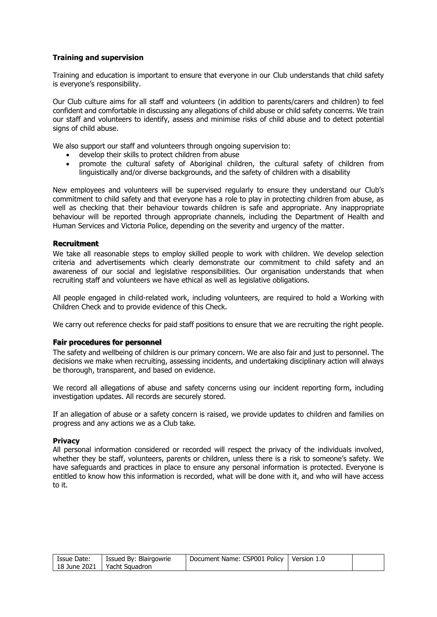# **Training and supervision**

Training and education is important to ensure that everyone in our Club understands that child safety is everyone's responsibility.

Our Club culture aims for all staff and volunteers (in addition to parents/carers and children) to feel confident and comfortable in discussing any allegations of child abuse or child safety concerns. We train our staff and volunteers to identify, assess and minimise risks of child abuse and to detect potential signs of child abuse.

We also support our staff and volunteers through ongoing supervision to:

- develop their skills to protect children from abuse
- promote the cultural safety of Aboriginal children, the cultural safety of children from linguistically and/or diverse backgrounds, and the safety of children with a disability

New employees and volunteers will be supervised regularly to ensure they understand our Club's commitment to child safety and that everyone has a role to play in protecting children from abuse, as well as checking that their behaviour towards children is safe and appropriate. Any inappropriate behaviour will be reported through appropriate channels, including the Department of Health and Human Services and Victoria Police, depending on the severity and urgency of the matter.

## **Recruitment**

We take all reasonable steps to employ skilled people to work with children. We develop selection criteria and advertisements which clearly demonstrate our commitment to child safety and an awareness of our social and legislative responsibilities. Our organisation understands that when recruiting staff and volunteers we have ethical as well as legislative obligations.

All people engaged in child-related work, including volunteers, are required to hold a Working with Children Check and to provide evidence of this Check.

We carry out reference checks for paid staff positions to ensure that we are recruiting the right people.

#### **Fair procedures for personnel**

The safety and wellbeing of children is our primary concern. We are also fair and just to personnel. The decisions we make when recruiting, assessing incidents, and undertaking disciplinary action will always be thorough, transparent, and based on evidence.

We record all allegations of abuse and safety concerns using our incident reporting form, including investigation updates. All records are securely stored.

If an allegation of abuse or a safety concern is raised, we provide updates to children and families on progress and any actions we as a Club take.

#### **Privacy**

All personal information considered or recorded will respect the privacy of the individuals involved, whether they be staff, volunteers, parents or children, unless there is a risk to someone's safety. We have safeguards and practices in place to ensure any personal information is protected. Everyone is entitled to know how this information is recorded, what will be done with it, and who will have access to it.

| Issue Date: | Issued By: Blairgowrie        | Document Name: CSP001 Policy   Version 1.0 |  |
|-------------|-------------------------------|--------------------------------------------|--|
|             | 18 June 2021   Yacht Squadron |                                            |  |